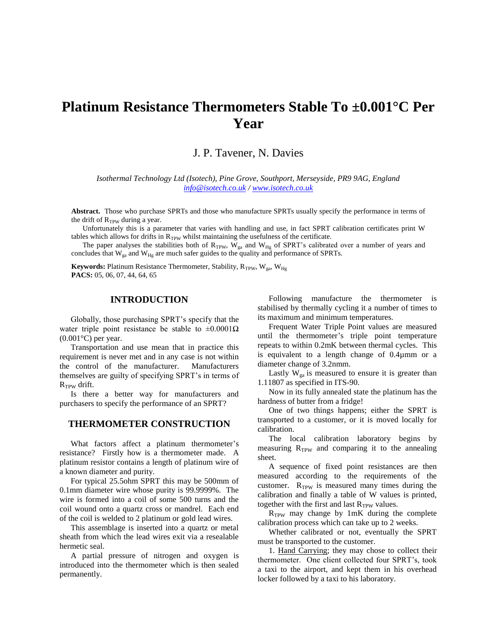# **Platinum Resistance Thermometers Stable To ±0.001°C Per Year**

# J. P. Tavener, N. Davies

*Isothermal Technology Ltd (Isotech), Pine Grove, Southport, Merseyside, PR9 9AG, England [info@isotech.co.uk](mailto:info@isotech.co.uk) / [www.isotech.co.uk](http://www.isotech.co.uk/)*

**Abstract.** Those who purchase SPRTs and those who manufacture SPRTs usually specify the performance in terms of the drift of  $R_{TPW}$  during a year.

Unfortunately this is a parameter that varies with handling and use, in fact SPRT calibration certificates print W tables which allows for drifts in  $R_{TPW}$  whilst maintaining the usefulness of the certificate.

The paper analyses the stabilities both of  $R_{TPW}$ ,  $W_{ga}$  and  $W_{Hg}$  of SPRT's calibrated over a number of years and concludes that  $W_{ga}$  and  $W_{Hg}$  are much safer guides to the quality and performance of SPRTs.

**Keywords:** Platinum Resistance Thermometer, Stability, R<sub>TPW</sub>, W<sub>ga</sub>, W<sub>Hg</sub> **PACS:** 05, 06, 07, 44, 64, 65

#### **INTRODUCTION**

Globally, those purchasing SPRT's specify that the water triple point resistance be stable to  $\pm 0.0001\Omega$  $(0.001\textdegree C)$  per year.

Transportation and use mean that in practice this requirement is never met and in any case is not within the control of the manufacturer. Manufacturers themselves are guilty of specifying SPRT's in terms of  $R_{TPW}$  drift.

Is there a better way for manufacturers and purchasers to specify the performance of an SPRT?

# **THERMOMETER CONSTRUCTION**

What factors affect a platinum thermometer's resistance? Firstly how is a thermometer made. A platinum resistor contains a length of platinum wire of a known diameter and purity.

For typical 25.5ohm SPRT this may be 500mm of 0.1mm diameter wire whose purity is 99.9999%. The wire is formed into a coil of some 500 turns and the coil wound onto a quartz cross or mandrel. Each end of the coil is welded to 2 platinum or gold lead wires.

This assemblage is inserted into a quartz or metal sheath from which the lead wires exit via a resealable hermetic seal.

A partial pressure of nitrogen and oxygen is introduced into the thermometer which is then sealed permanently.

Following manufacture the thermometer is stabilised by thermally cycling it a number of times to its maximum and minimum temperatures.

Frequent Water Triple Point values are measured until the thermometer's triple point temperature repeats to within 0.2mK between thermal cycles. This is equivalent to a length change of 0.4µmm or a diameter change of 3.2nmm.

Lastly  $W_{ga}$  is measured to ensure it is greater than 1.11807 as specified in ITS-90.

Now in its fully annealed state the platinum has the hardness of butter from a fridge!

One of two things happens; either the SPRT is transported to a customer, or it is moved locally for calibration.

The local calibration laboratory begins by measuring  $R_{TPW}$  and comparing it to the annealing sheet.

A sequence of fixed point resistances are then measured according to the requirements of the customer.  $R_{TPW}$  is measured many times during the calibration and finally a table of W values is printed, together with the first and last  $R_{TPW}$  values.

R<sub>TPW</sub> may change by 1mK during the complete calibration process which can take up to 2 weeks.

Whether calibrated or not, eventually the SPRT must be transported to the customer.

1. Hand Carrying; they may chose to collect their thermometer. One client collected four SPRT's, took a taxi to the airport, and kept them in his overhead locker followed by a taxi to his laboratory.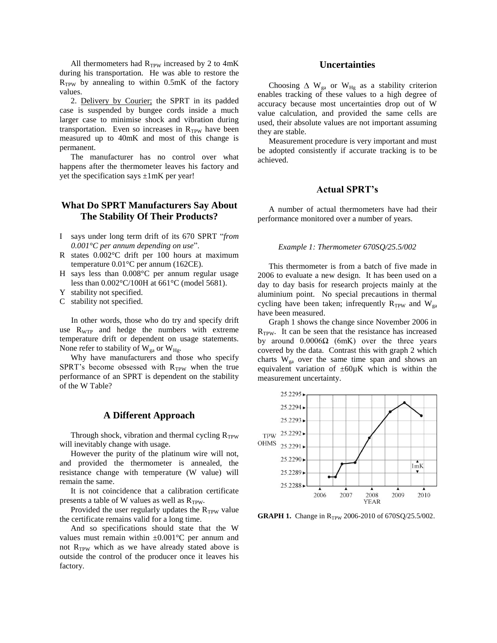All thermometers had  $R_{TPW}$  increased by 2 to 4mK during his transportation. He was able to restore the  $R_{TPW}$  by annealing to within 0.5mK of the factory values.

2. Delivery by Courier; the SPRT in its padded case is suspended by bungee cords inside a much larger case to minimise shock and vibration during transportation. Even so increases in  $R_{TPW}$  have been measured up to 40mK and most of this change is permanent.

The manufacturer has no control over what happens after the thermometer leaves his factory and yet the specification says  $\pm 1$ mK per year!

# **What Do SPRT Manufacturers Say About The Stability Of Their Products?**

- I says under long term drift of its 670 SPRT "*from 0.001°C per annum depending on use*".
- R states 0.002°C drift per 100 hours at maximum temperature 0.01°C per annum (162CE).
- H says less than 0.008°C per annum regular usage less than 0.002°C/100H at 661°C (model 5681).
- Y stability not specified.
- C stability not specified.

In other words, those who do try and specify drift use  $R_{\text{WTP}}$  and hedge the numbers with extreme temperature drift or dependent on usage statements. None refer to stability of  $W_{ga}$  or  $W_{Hg}$ .

Why have manufacturers and those who specify SPRT's become obsessed with  $R_{TPW}$  when the true performance of an SPRT is dependent on the stability of the W Table?

### **A Different Approach**

Through shock, vibration and thermal cycling  $R_{TPW}$ will inevitably change with usage.

However the purity of the platinum wire will not, and provided the thermometer is annealed, the resistance change with temperature (W value) will remain the same.

It is not coincidence that a calibration certificate presents a table of W values as well as  $R_{TPW}$ .

Provided the user regularly updates the  $R_{TPW}$  value the certificate remains valid for a long time.

And so specifications should state that the W values must remain within  $\pm 0.001$ °C per annum and not  $R_{TPW}$  which as we have already stated above is outside the control of the producer once it leaves his factory.

#### **Uncertainties**

Choosing  $\Delta$  W<sub>ga</sub> or W<sub>Hg</sub> as a stability criterion enables tracking of these values to a high degree of accuracy because most uncertainties drop out of W value calculation, and provided the same cells are used, their absolute values are not important assuming they are stable.

Measurement procedure is very important and must be adopted consistently if accurate tracking is to be achieved.

#### **Actual SPRT's**

A number of actual thermometers have had their performance monitored over a number of years.

#### *Example 1: Thermometer 670SQ/25.5/002*

This thermometer is from a batch of five made in 2006 to evaluate a new design. It has been used on a day to day basis for research projects mainly at the aluminium point. No special precautions in thermal cycling have been taken; infrequently  $R_{TPW}$  and  $W_{ga}$ have been measured.

Graph 1 shows the change since November 2006 in  $R_{TPW}$ . It can be seen that the resistance has increased by around 0.0006Ω (6mK) over the three years covered by the data. Contrast this with graph 2 which charts  $W_{ga}$  over the same time span and shows an equivalent variation of  $\pm 60\mu K$  which is within the measurement uncertainty.



**GRAPH 1.** Change in R<sub>TPW</sub> 2006-2010 of 670SQ/25.5/002.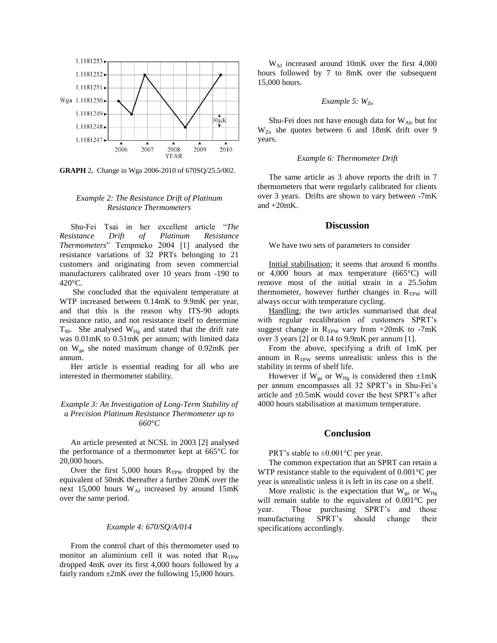

**GRAPH** 2**.** Change in Wga 2006-2010 of 670SQ/25.5/002.

#### *Example 2: The Resistance Drift of Platinum Resistance Thermometers*

Shu-Fei Tsai in her excellent article "*The Resistance Drift of Platinum Resistance Thermometers*" Tempmeko 2004 [1] analysed the resistance variations of 32 PRTs belonging to 21 customers and originating from seven commercial manufacturers calibrated over 10 years from -190 to 420°C.

She concluded that the equivalent temperature at WTP increased between 0.14mK to 9.9mK per year, and that this is the reason why ITS-90 adopts resistance ratio, and not resistance itself to determine  $T_{90}$ . She analysed  $W_{Hg}$  and stated that the drift rate was 0.01mK to 0.51mK per annum; with limited data on Wga she noted maximum change of 0.92mK per annum.

Her article is essential reading for all who are interested in thermometer stability.

#### *Example 3: An Investigation of Long-Term Stability of a Precision Platinum Resistance Thermometer up to 660°C*

An article presented at NCSL in 2003 [2] analysed the performance of a thermometer kept at 665°C for 20,000 hours.

Over the first  $5,000$  hours  $R_{TPW}$  dropped by the equivalent of 50mK thereafter a further 20mK over the next 15,000 hours  $W_{AI}$  increased by around 15mK over the same period.

#### *Example 4: 670/SQ/A/014*

From the control chart of this thermometer used to monitor an aluminium cell it was noted that RTPW dropped 4mK over its first 4,000 hours followed by a fairly random  $\pm 2mK$  over the following 15,000 hours.

 $W_{\text{AI}}$  increased around 10mK over the first 4,000 hours followed by 7 to 8mK over the subsequent 15,000 hours.

#### *Example 5: WZn*

Shu-Fei does not have enough data for  $W_{AI}$ , but for W<sub>Zn</sub> she quotes between 6 and 18mK drift over 9 years.

#### *Example 6: Thermometer Drift*

The same article as 3 above reports the drift in 7 thermometers that were regularly calibrated for clients over 3 years. Drifts are shown to vary between -7mK and +20mK.

#### **Discussion**

We have two sets of parameters to consider

Initial stabilisation; it seems that around 6 months or 4,000 hours at max temperature (665°C) will remove most of the initial strain in a 25.5ohm thermometer, however further changes in  $R_{TPW}$  will always occur with temperature cycling.

Handling; the two articles summarised that deal with regular recalibration of customers SPRT's suggest change in  $R_{TPW}$  vary from +20mK to -7mK over 3 years [2] or 0.14 to 9.9mK per annum [1].

From the above, specifying a drift of 1mK per annum in  $R_{TPW}$  seems unrealistic unless this is the stability in terms of shelf life.

However if  $W_{ga}$  or  $W_{Hg}$  is considered then  $\pm 1$ mK per annum encompasses all 32 SPRT's in Shu-Fei's article and ±0.5mK would cover the best SPRT's after 4000 hours stabilisation at maximum temperature.

#### **Conclusion**

PRT's stable to ±0.001°C per year.

The common expectation that an SPRT can retain a WTP resistance stable to the equivalent of 0.001°C per year is unrealistic unless it is left in its case on a shelf.

More realistic is the expectation that  $W_{ga}$  or  $W_{Hg}$ will remain stable to the equivalent of 0.001°C per year. Those purchasing SPRT's and those manufacturing SPRT's should change their specifications accordingly.